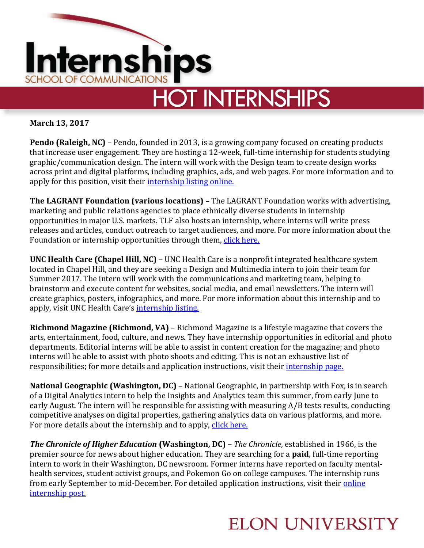

**March 13, 2017**

**Pendo (Raleigh, NC)** – Pendo, founded in 2013, is a growing company focused on creating products that increase user engagement. They are hosting a 12-week, full-time internship for students studying graphic/communication design. The intern will work with the Design team to create design works across print and digital platforms, including graphics, ads, and web pages. For more information and to apply for this position, visit their [internship listing](https://jobs.smartrecruiters.com/Pendo/108905235-graphic-design-intern) online.

**The LAGRANT Foundation (various locations)** – The LAGRANT Foundation works with advertising, marketing and public relations agencies to place ethnically diverse students in internship opportunities in major U.S. markets. TLF also hosts an internship, where interns will write press releases and articles, conduct outreach to target audiences, and more. For more information about the Foundation or internship opportunities through them, [click here.](https://www.lagrantfoundation.org/Internship)

**UNC Health Care (Chapel Hill, NC)** – UNC Health Care is a nonprofit integrated healthcare system located in Chapel Hill, and they are seeking a Design and Multimedia intern to join their team for Summer 2017. The intern will work with the communications and marketing team, helping to brainstorm and execute content for websites, social media, and email newsletters. The intern will create graphics, posters, infographics, and more. For more information about this internship and to apply, visit UNC Health Care's [internship listing.](http://news.unchealthcare.org/news-team/design-and-multimedia-internship)

**Richmond Magazine (Richmond, VA)** – Richmond Magazine is a lifestyle magazine that covers the arts, entertainment, food, culture, and news. They have internship opportunities in editorial and photo departments. Editorial interns will be able to assist in content creation for the magazine; and photo interns will be able to assist with photo shoots and editing. This is not an exhaustive list of responsibilities; for more details and application instructions, visit their *internship page*.

**National Geographic (Washington, DC)** – National Geographic, in partnership with Fox, is in search of a Digital Analytics intern to help the Insights and Analytics team this summer, from early June to early August. The intern will be responsible for assisting with measuring A/B tests results, conducting competitive analyses on digital properties, gathering analytics data on various platforms, and more. For more details about the internship and to apply, [click here.](https://fox.taleo.net/careersection/fox_external_career_section/jobdetail.ftl?job=217570)

*The Chronicle of Higher Education* **(Washington, DC)** – *The Chronicle,* established in 1966, is the premier source for news about higher education. They are searching for a **paid**, full-time reporting intern to work in their Washington, DC newsroom. Former interns have reported on faculty mentalhealth services, student activist groups, and Pokemon Go on college campuses. The internship runs from early September to mid-December. For detailed application instructions, visit their *online* [internship post.](http://www.chronicle.com/article/Apply-for-The-Chronicles-Fall/233782?cid=pm&utm_source=pm&utm_medium=en&elqTrackId=0c36631ad7cc4229b649af9fdcf20a79&elq=4d2435186f0e4775b49f2b3f611407f9&elqaid=12843&elqat=1&elqCampaignId=5286)

## **ELON UNIVERSITY**